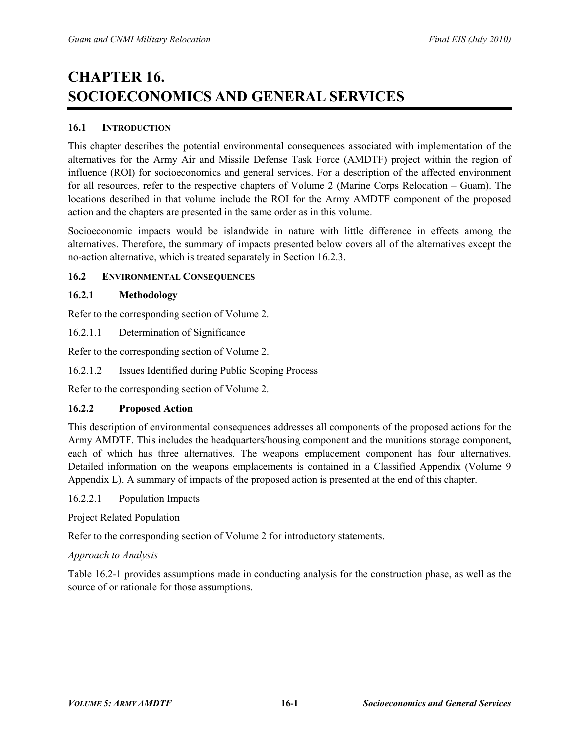# **CHAPTER 16. SOCIOECONOMICS AND GENERAL SERVICES**

## **16.1 INTRODUCTION**

This chapter describes the potential environmental consequences associated with implementation of the alternatives for the Army Air and Missile Defense Task Force (AMDTF) project within the region of influence (ROI) for socioeconomics and general services. For a description of the affected environment for all resources, refer to the respective chapters of Volume 2 (Marine Corps Relocation – Guam). The locations described in that volume include the ROI for the Army AMDTF component of the proposed action and the chapters are presented in the same order as in this volume.

Socioeconomic impacts would be islandwide in nature with little difference in effects among the alternatives. Therefore, the summary of impacts presented below covers all of the alternatives except the no-action alternative, which is treated separately in Section 16.2.3.

## **16.2 ENVIRONMENTAL CONSEQUENCES**

#### **16.2.1 Methodology**

Refer to the corresponding section of Volume 2.

16.2.1.1 Determination of Significance

Refer to the corresponding section of Volume 2.

16.2.1.2 Issues Identified during Public Scoping Process

Refer to the corresponding section of Volume 2.

# **16.2.2 Proposed Action**

This description of environmental consequences addresses all components of the proposed actions for the Army AMDTF. This includes the headquarters/housing component and the munitions storage component, each of which has three alternatives. The weapons emplacement component has four alternatives. Detailed information on the weapons emplacements is contained in a Classified Appendix (Volume 9 Appendix L). A summary of impacts of the proposed action is presented at the end of this chapter.

16.2.2.1 Population Impacts

#### Project Related Population

Refer to the corresponding section of Volume 2 for introductory statements.

#### *Approach to Analysis*

Table 16.2-1 provides assumptions made in conducting analysis for the construction phase, as well as the source of or rationale for those assumptions.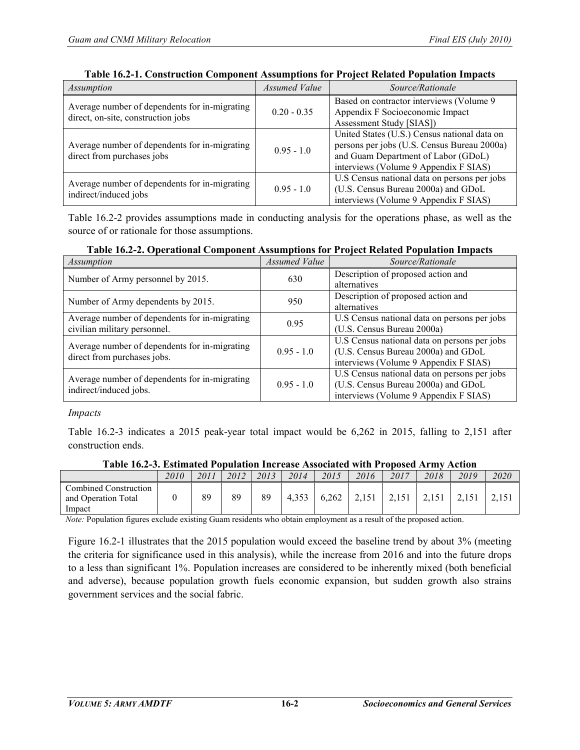| Assumption                                                                          | Assumed Value | Source/Rationale                                                                                                                                                            |
|-------------------------------------------------------------------------------------|---------------|-----------------------------------------------------------------------------------------------------------------------------------------------------------------------------|
| Average number of dependents for in-migrating<br>direct, on-site, construction jobs | $0.20 - 0.35$ | Based on contractor interviews (Volume 9)<br>Appendix F Socioeconomic Impact<br>Assessment Study [SIAS])                                                                    |
| Average number of dependents for in-migrating<br>direct from purchases jobs         | $0.95 - 1.0$  | United States (U.S.) Census national data on<br>persons per jobs (U.S. Census Bureau 2000a)<br>and Guam Department of Labor (GDoL)<br>interviews (Volume 9 Appendix F SIAS) |
| Average number of dependents for in-migrating<br>indirect/induced jobs              | $0.95 - 1.0$  | U.S Census national data on persons per jobs<br>(U.S. Census Bureau 2000a) and GDoL<br>interviews (Volume 9 Appendix F SIAS)                                                |

#### **Table 16.2-1. Construction Component Assumptions for Project Related Population Impacts**

Table 16.2-2 provides assumptions made in conducting analysis for the operations phase, as well as the source of or rationale for those assumptions.

| Table 16.2-2. Operational Component Assumptions for Project Related Population Impacts |  |  |  |  |
|----------------------------------------------------------------------------------------|--|--|--|--|
|                                                                                        |  |  |  |  |

| Assumption                                                              | Assumed Value | Source/Rationale                             |
|-------------------------------------------------------------------------|---------------|----------------------------------------------|
| Number of Army personnel by 2015.                                       | 630           | Description of proposed action and           |
|                                                                         |               | alternatives                                 |
| Number of Army dependents by 2015.                                      | 950           | Description of proposed action and           |
|                                                                         |               | alternatives                                 |
| Average number of dependents for in-migrating                           | 0.95          | U.S Census national data on persons per jobs |
| civilian military personnel.                                            |               | (U.S. Census Bureau 2000a)                   |
| Average number of dependents for in-migrating                           |               | U.S Census national data on persons per jobs |
| direct from purchases jobs.                                             | $0.95 - 1.0$  | (U.S. Census Bureau 2000a) and GDoL          |
|                                                                         |               | interviews (Volume 9 Appendix F SIAS)        |
|                                                                         |               | U.S Census national data on persons per jobs |
| Average number of dependents for in-migrating<br>indirect/induced jobs. | $0.95 - 1.0$  | (U.S. Census Bureau 2000a) and GDoL          |
|                                                                         |               | interviews (Volume 9 Appendix F SIAS)        |

*Impacts* 

Table 16.2-3 indicates a 2015 peak-year total impact would be 6,262 in 2015, falling to 2,151 after construction ends.

|                                                        | 2010 | 2011 | 2012 | 2013 | 2014  | 2015  | 2016  | 2017  | 2018 | 2019 | 2020 |
|--------------------------------------------------------|------|------|------|------|-------|-------|-------|-------|------|------|------|
| Combined Construction<br>and Operation Total<br>Impact |      | 89   | 89   | 89   | 4.353 | 6.262 | 2.151 | 2.151 |      |      |      |

# **Table 16.2-3. Estimated Population Increase Associated with Proposed Army Action**

*Note:* Population figures exclude existing Guam residents who obtain employment as a result of the proposed action.

Figure 16.2-1 illustrates that the 2015 population would exceed the baseline trend by about 3% (meeting the criteria for significance used in this analysis), while the increase from 2016 and into the future drops to a less than significant 1%. Population increases are considered to be inherently mixed (both beneficial and adverse), because population growth fuels economic expansion, but sudden growth also strains government services and the social fabric.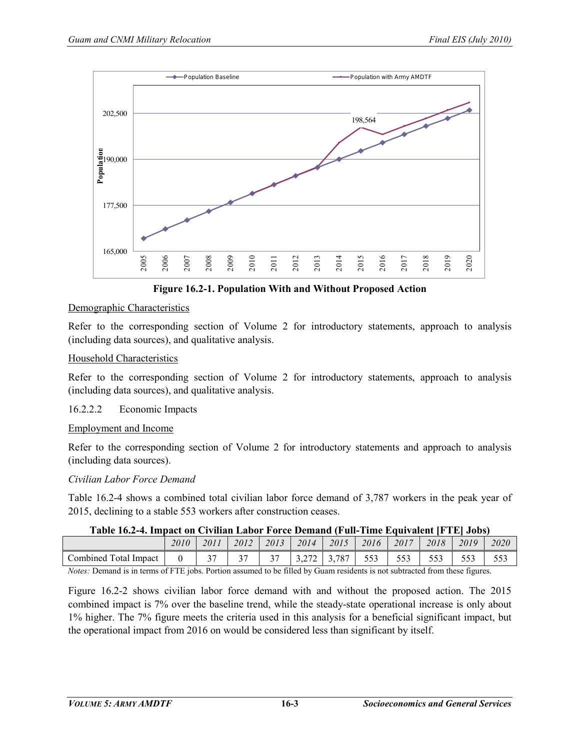

**Figure 16.2-1. Population With and Without Proposed Action**

## Demographic Characteristics

Refer to the corresponding section of Volume 2 for introductory statements, approach to analysis (including data sources), and qualitative analysis.

#### Household Characteristics

Refer to the corresponding section of Volume 2 for introductory statements, approach to analysis (including data sources), and qualitative analysis.

#### 16.2.2.2 Economic Impacts

#### Employment and Income

Refer to the corresponding section of Volume 2 for introductory statements and approach to analysis (including data sources).

#### *Civilian Labor Force Demand*

Table 16.2-4 shows a combined total civilian labor force demand of 3,787 workers in the peak year of 2015, declining to a stable 553 workers after construction ceases.

#### **Table 16.2-4. Impact on Civilian Labor Force Demand (Full-Time Equivalent [FTE] Jobs)**

|                                  | 2010                                           | 2011   | 2012        | 2013   | 2014                          | 2015             | 2016       | 2017                 | 2018           | 2019        | 2020        |
|----------------------------------|------------------------------------------------|--------|-------------|--------|-------------------------------|------------------|------------|----------------------|----------------|-------------|-------------|
| Combined<br>otal<br>Impact       |                                                | $\sim$ | $\sim$<br>ັ | $\sim$ | <u>.</u><br>∸                 | ,787<br><u>.</u> | 552<br>--- | $  \sim$<br>JJ J     | $- - -$<br>JJJ | ととつ<br>JJ J | 552<br>JJ J |
| $\cdots$<br>$\sim$ $\sim$ $\sim$ | $\alpha$ means $\beta$ is a second to $\alpha$ |        |             |        | $\sim$ 11 $\sim$ 11<br>$\sim$ |                  |            | $\sim$ $\sim$ $\sim$ |                |             |             |

*Notes:* Demand is in terms of FTE jobs. Portion assumed to be filled by Guam residents is not subtracted from these figures.

Figure 16.2-2 shows civilian labor force demand with and without the proposed action. The 2015 combined impact is 7% over the baseline trend, while the steady-state operational increase is only about 1% higher. The 7% figure meets the criteria used in this analysis for a beneficial significant impact, but the operational impact from 2016 on would be considered less than significant by itself.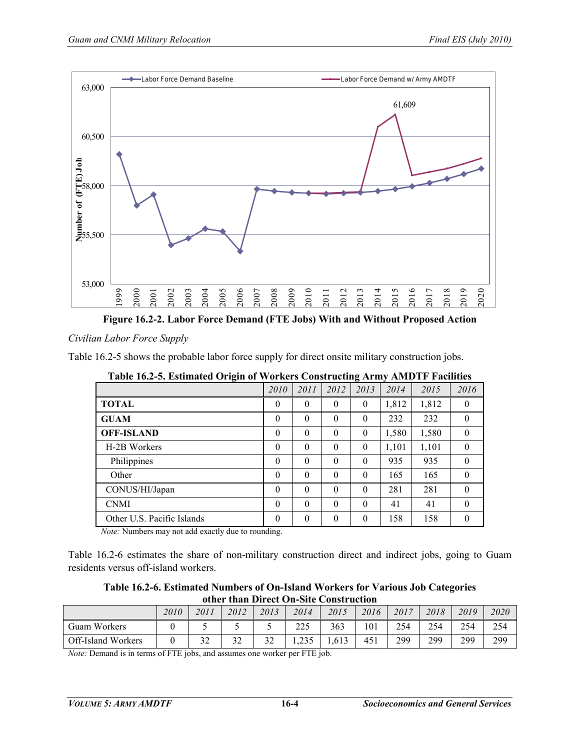

**Figure 16.2-2. Labor Force Demand (FTE Jobs) With and Without Proposed Action**

*Civilian Labor Force Supply* 

Table 16.2-5 shows the probable labor force supply for direct onsite military construction jobs.

| Twore follow consumered only in or workers conserveding farmy |          |                |          |                |       | $1.1.1.0$ $1.1$ $1.0.01$ |          |
|---------------------------------------------------------------|----------|----------------|----------|----------------|-------|--------------------------|----------|
|                                                               | 2010     | 2011           | 2012     | 2013           | 2014  | 2015                     | 2016     |
| <b>TOTAL</b>                                                  | $\theta$ | $\theta$       | $\theta$ | $\theta$       | 1,812 | 1,812                    | $\theta$ |
| <b>GUAM</b>                                                   | $\theta$ | $\theta$       | $\theta$ | $\theta$       | 232   | 232                      | $\theta$ |
| <b>OFF-ISLAND</b>                                             | $\theta$ | $\overline{0}$ | $\theta$ | $\overline{0}$ | 1,580 | 1,580                    | $\theta$ |
| H-2B Workers                                                  | $\theta$ | $\theta$       | $\theta$ | $\theta$       | 1,101 | 1,101                    | $\theta$ |
| Philippines                                                   | $\theta$ | $\theta$       | $\theta$ | $\theta$       | 935   | 935                      | $\theta$ |
| Other                                                         | $\Omega$ | $\theta$       | $\theta$ | $\theta$       | 165   | 165                      | $\theta$ |
| CONUS/HI/Japan                                                | $\theta$ | $\theta$       | $\theta$ | $\theta$       | 281   | 281                      | $\theta$ |
| <b>CNMI</b>                                                   | $\theta$ | $\theta$       | $\theta$ | $\theta$       | 41    | 41                       | $\theta$ |
| Other U.S. Pacific Islands                                    | $\theta$ | $\theta$       | $\theta$ | $\theta$       | 158   | 158                      | $\Omega$ |

**Table 16.2-5. Estimated Origin of Workers Constructing Army AMDTF Facilities**

*Note:* Numbers may not add exactly due to rounding.

Table 16.2-6 estimates the share of non-military construction direct and indirect jobs, going to Guam residents versus off-island workers.

**Table 16.2-6. Estimated Numbers of On-Island Workers for Various Job Categories other than Direct On-Site Construction**

|                    | 2010 | 2011                 | 2012      | 2013          | 2014          | 2015  | 2016 | 2017 | 2018       | 2019 | 2020 |
|--------------------|------|----------------------|-----------|---------------|---------------|-------|------|------|------------|------|------|
| Guam Workers       |      | ັ                    |           | ັ             | nne<br>ر رے ر | 363   | 101  | 254  | 254<br>ر گ | 254  | 254  |
| Off-Island Workers |      | $\mathcal{L}$<br>ے ر | 32<br>ے ر | $\sim$<br>ے ر | 235<br>ر ريد  | 1,613 | 451  | 299  | 299        | 299  | 299  |

*Note:* Demand is in terms of FTE jobs, and assumes one worker per FTE job.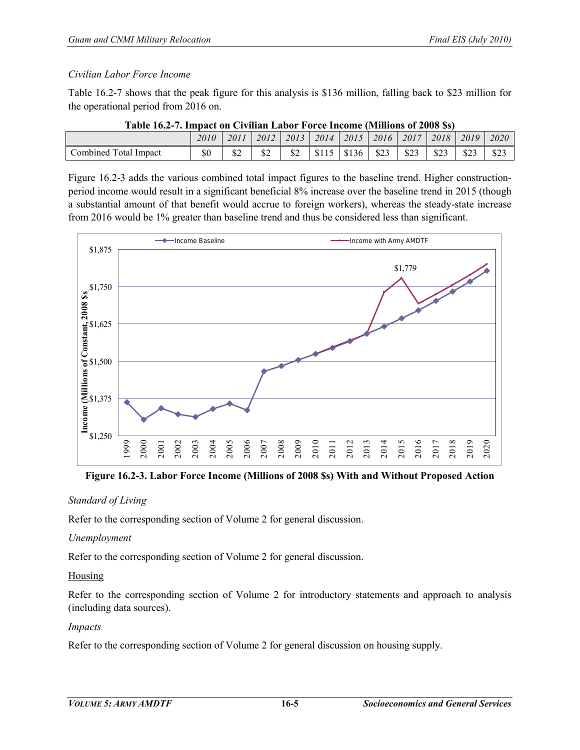## *Civilian Labor Force Income*

Table 16.2-7 shows that the peak figure for this analysis is \$136 million, falling back to \$23 million for the operational period from 2016 on.

| Table T0.2-7, Hilpact on Cryman Labor Torce Hicome (MHillons of 2000 937 |      |          |      |      |      |       |      |      |      |      |      |
|--------------------------------------------------------------------------|------|----------|------|------|------|-------|------|------|------|------|------|
|                                                                          | 2010 | 2011     | 2012 | 2013 | 2014 | 2015  | 2016 | 2017 | 2018 | 2019 | 2020 |
| Combined Total Impact                                                    | \$0  | ሰሳ<br>ΦZ |      | ۵Z   |      | \$136 | \$23 | \$23 | \$23 | \$23 | \$23 |

|  |  |  |  | Table 16.2-7. Impact on Civilian Labor Force Income (Millions of 2008 \$s) |  |
|--|--|--|--|----------------------------------------------------------------------------|--|
|  |  |  |  |                                                                            |  |

Figure 16.2-3 adds the various combined total impact figures to the baseline trend. Higher constructionperiod income would result in a significant beneficial 8% increase over the baseline trend in 2015 (though a substantial amount of that benefit would accrue to foreign workers), whereas the steady-state increase from 2016 would be 1% greater than baseline trend and thus be considered less than significant.



**Figure 16.2-3. Labor Force Income (Millions of 2008 \$s) With and Without Proposed Action** 

# *Standard of Living*

Refer to the corresponding section of Volume 2 for general discussion.

# *Unemployment*

Refer to the corresponding section of Volume 2 for general discussion.

# Housing

Refer to the corresponding section of Volume 2 for introductory statements and approach to analysis (including data sources).

# *Impacts*

Refer to the corresponding section of Volume 2 for general discussion on housing supply.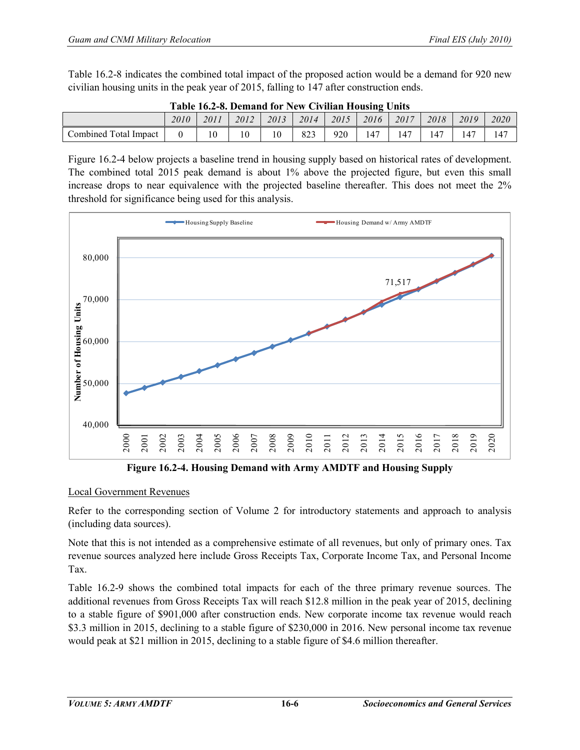Table 16.2-8 indicates the combined total impact of the proposed action would be a demand for 920 new civilian housing units in the peak year of 2015, falling to 147 after construction ends.

| Table 10.2-6. Demand for New Civinan Housing Omis |      |      |      |      |      |      |      |      |      |      |      |
|---------------------------------------------------|------|------|------|------|------|------|------|------|------|------|------|
|                                                   | 2010 | 2011 | 2012 | 2013 | 2014 | 2015 | 2016 | 2017 | 2018 | 2019 | 2020 |
| Combined Total Impact                             |      |      |      |      | 823  | 920  |      | 47ء  | 47ء  | .47  | 47ء  |

|  |  | Table 16.2-8. Demand for New Civilian Housing Units |  |
|--|--|-----------------------------------------------------|--|
|  |  |                                                     |  |

Figure 16.2-4 below projects a baseline trend in housing supply based on historical rates of development. The combined total 2015 peak demand is about 1% above the projected figure, but even this small increase drops to near equivalence with the projected baseline thereafter. This does not meet the 2% threshold for significance being used for this analysis.



**Figure 16.2-4. Housing Demand with Army AMDTF and Housing Supply**

# Local Government Revenues

Refer to the corresponding section of Volume 2 for introductory statements and approach to analysis (including data sources).

Note that this is not intended as a comprehensive estimate of all revenues, but only of primary ones. Tax revenue sources analyzed here include Gross Receipts Tax, Corporate Income Tax, and Personal Income Tax.

Table 16.2-9 shows the combined total impacts for each of the three primary revenue sources. The additional revenues from Gross Receipts Tax will reach \$12.8 million in the peak year of 2015, declining to a stable figure of \$901,000 after construction ends. New corporate income tax revenue would reach \$3.3 million in 2015, declining to a stable figure of \$230,000 in 2016. New personal income tax revenue would peak at \$21 million in 2015, declining to a stable figure of \$4.6 million thereafter.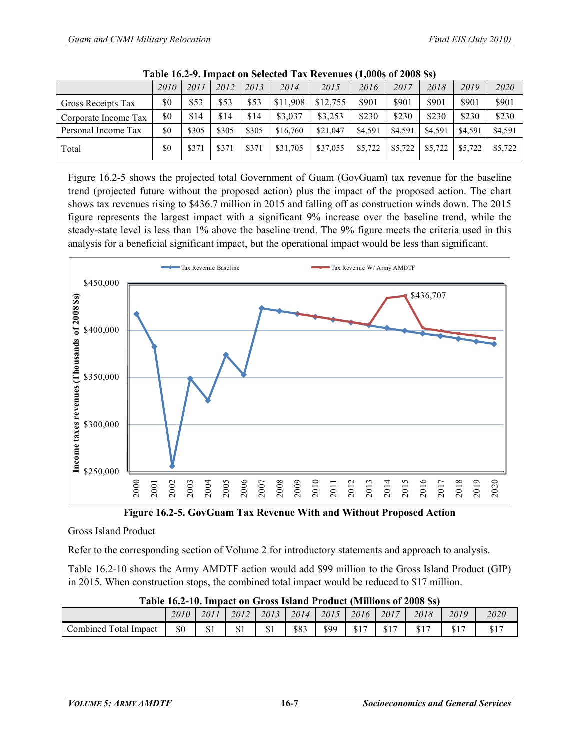| --------------       |      |       |       |       |          |          |         |         |         |         |         |
|----------------------|------|-------|-------|-------|----------|----------|---------|---------|---------|---------|---------|
|                      | 2010 | 2011  | 2012  | 2013  | 2014     | 2015     | 2016    | 2017    | 2018    | 2019    | 2020    |
| Gross Receipts Tax   | \$0  | \$53  | \$53  | \$53  | \$11.908 | \$12,755 | \$901   | \$901   | \$901   | \$901   | \$901   |
| Corporate Income Tax | \$0  | \$14  | \$14  | \$14  | \$3,037  | \$3.253  | \$230   | \$230   | \$230   | \$230   | \$230   |
| Personal Income Tax  | \$0  | \$305 | \$305 | \$305 | \$16.760 | \$21,047 | \$4.591 | \$4.591 | \$4.591 | \$4.591 | \$4,591 |
| Total                | \$0  | \$371 | \$371 | \$371 | \$31,705 | \$37,055 | \$5,722 | \$5,722 | \$5,722 | \$5,722 | \$5.722 |

| Table 16.2-9. Impact on Selected Tax Revenues (1,000s of 2008 \$s) |  |  |  |  |
|--------------------------------------------------------------------|--|--|--|--|
|--------------------------------------------------------------------|--|--|--|--|

Figure 16.2-5 shows the projected total Government of Guam (GovGuam) tax revenue for the baseline trend (projected future without the proposed action) plus the impact of the proposed action. The chart shows tax revenues rising to \$436.7 million in 2015 and falling off as construction winds down. The 2015 figure represents the largest impact with a significant 9% increase over the baseline trend, while the steady-state level is less than 1% above the baseline trend. The 9% figure meets the criteria used in this analysis for a beneficial significant impact, but the operational impact would be less than significant.



**Figure 16.2-5. GovGuam Tax Revenue With and Without Proposed Action**

#### Gross Island Product

Refer to the corresponding section of Volume 2 for introductory statements and approach to analysis.

Table 16.2-10 shows the Army AMDTF action would add \$99 million to the Gross Island Product (GIP) in 2015. When construction stops, the combined total impact would be reduced to \$17 million.

| --------                                 |      |           |      |      |      |      |            |            |            |      |             |
|------------------------------------------|------|-----------|------|------|------|------|------------|------------|------------|------|-------------|
|                                          | 2010 | 2011      | 2012 | 2013 | 2014 | 2015 | 2016       | 2017       | 2018       | 2019 | 2020        |
| <sup>1</sup> Total<br>Combined<br>Impact | \$0  | ሰ ነ<br>ΦI | ມ⊥   | ΦI   | \$83 | \$99 | ሰ1 7<br>ΦI | ሰ1 7<br>ФI | ሰ1 5<br>JІ | ΦŦ   | 017<br>، ٦١ |

| Table 16.2-10. Impact on Gross Island Product (Millions of 2008 \$s) |  |  |  |
|----------------------------------------------------------------------|--|--|--|
|                                                                      |  |  |  |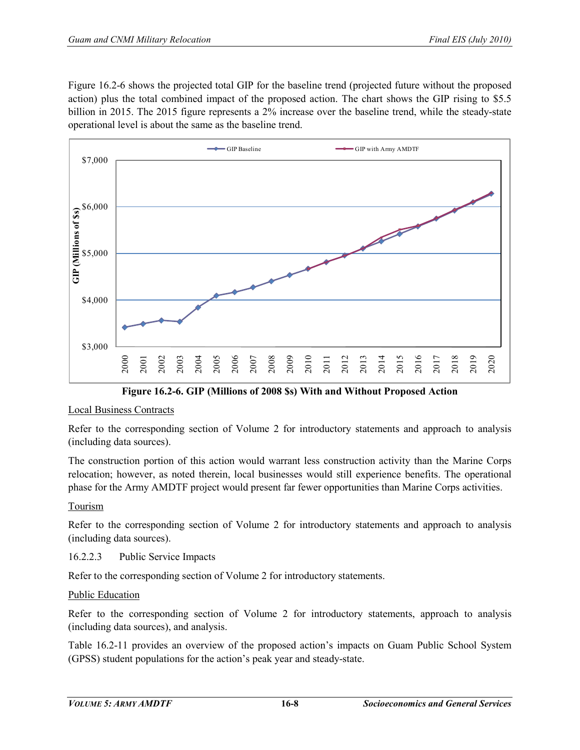Figure 16.2-6 shows the projected total GIP for the baseline trend (projected future without the proposed action) plus the total combined impact of the proposed action. The chart shows the GIP rising to \$5.5 billion in 2015. The 2015 figure represents a 2% increase over the baseline trend, while the steady-state operational level is about the same as the baseline trend.



**Figure 16.2-6. GIP (Millions of 2008 \$s) With and Without Proposed Action** 

#### Local Business Contracts

Refer to the corresponding section of Volume 2 for introductory statements and approach to analysis (including data sources).

The construction portion of this action would warrant less construction activity than the Marine Corps relocation; however, as noted therein, local businesses would still experience benefits. The operational phase for the Army AMDTF project would present far fewer opportunities than Marine Corps activities.

#### Tourism

Refer to the corresponding section of Volume 2 for introductory statements and approach to analysis (including data sources).

#### 16.2.2.3 Public Service Impacts

Refer to the corresponding section of Volume 2 for introductory statements.

#### Public Education

Refer to the corresponding section of Volume 2 for introductory statements, approach to analysis (including data sources), and analysis.

Table 16.2-11 provides an overview of the proposed action's impacts on Guam Public School System (GPSS) student populations for the action's peak year and steady-state.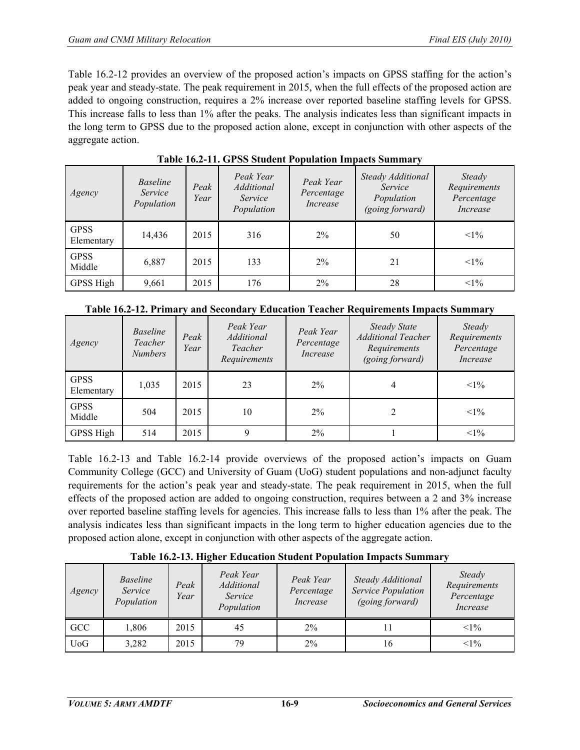Table 16.2-12 provides an overview of the proposed action's impacts on GPSS staffing for the action's peak year and steady-state. The peak requirement in 2015, when the full effects of the proposed action are added to ongoing construction, requires a 2% increase over reported baseline staffing levels for GPSS. This increase falls to less than 1% after the peaks. The analysis indicates less than significant impacts in the long term to GPSS due to the proposed action alone, except in conjunction with other aspects of the aggregate action.

| Agency                    | <i>Baseline</i><br>Service<br>Population | Peak<br>Year | Peak Year<br><b>Additional</b><br>Service<br>Population | Peak Year<br>Percentage<br>Increase | Steady Additional<br>Service<br>Population<br>(going forward) | Steady<br>Requirements<br>Percentage<br>Increase |
|---------------------------|------------------------------------------|--------------|---------------------------------------------------------|-------------------------------------|---------------------------------------------------------------|--------------------------------------------------|
| <b>GPSS</b><br>Elementary | 14,436                                   | 2015         | 316                                                     | 2%                                  | 50                                                            | $<1\%$                                           |
| <b>GPSS</b><br>Middle     | 6,887                                    | 2015         | 133                                                     | $2\%$                               | 21                                                            | $<1\%$                                           |
| GPSS High                 | 9,661                                    | 2015         | 176                                                     | 2%                                  | 28                                                            | $<1\%$                                           |

**Table 16.2-11. GPSS Student Population Impacts Summary**

|  | Table 16.2-12. Primary and Secondary Education Teacher Requirements Impacts Summary |  |  |  |
|--|-------------------------------------------------------------------------------------|--|--|--|
|--|-------------------------------------------------------------------------------------|--|--|--|

| Agency                    | <i>Baseline</i><br>Teacher<br><b>Numbers</b> | Peak<br>Year | Peak Year<br><b>Additional</b><br>Teacher<br>Requirements | Peak Year<br>Percentage<br>Increase | <b>Steady State</b><br><b>Additional Teacher</b><br>Requirements<br>(going forward) | Steady<br>Requirements<br>Percentage<br>Increase |
|---------------------------|----------------------------------------------|--------------|-----------------------------------------------------------|-------------------------------------|-------------------------------------------------------------------------------------|--------------------------------------------------|
| <b>GPSS</b><br>Elementary | 1,035                                        | 2015         | 23                                                        | $2\%$                               | 4                                                                                   | $<1\%$                                           |
| <b>GPSS</b><br>Middle     | 504                                          | 2015         | 10                                                        | $2\%$                               |                                                                                     | $<1\%$                                           |
| GPSS High                 | 514                                          | 2015         | 9                                                         | $2\%$                               |                                                                                     | $<1\%$                                           |

Table 16.2-13 and Table 16.2-14 provide overviews of the proposed action's impacts on Guam Community College (GCC) and University of Guam (UoG) student populations and non-adjunct faculty requirements for the action's peak year and steady-state. The peak requirement in 2015, when the full effects of the proposed action are added to ongoing construction, requires between a 2 and 3% increase over reported baseline staffing levels for agencies. This increase falls to less than 1% after the peak. The analysis indicates less than significant impacts in the long term to higher education agencies due to the proposed action alone, except in conjunction with other aspects of the aggregate action.

| Agency     | <i>Baseline</i><br>Service<br>Population | Peak<br>Year | Peak Year<br>Additional<br>Service<br>Population | Peak Year<br>Percentage<br>Increase | Steady Additional<br>Service Population<br>(going forward) | Steady<br>Requirements<br>Percentage<br>Increase |
|------------|------------------------------------------|--------------|--------------------------------------------------|-------------------------------------|------------------------------------------------------------|--------------------------------------------------|
| GCC        | ,806                                     | 2015         | 45                                               | $2\%$                               |                                                            | $<1\%$                                           |
| <b>UoG</b> | 3,282                                    | 2015         | 79                                               | $2\%$                               | 16                                                         | $<1\%$                                           |

**Table 16.2-13. Higher Education Student Population Impacts Summary**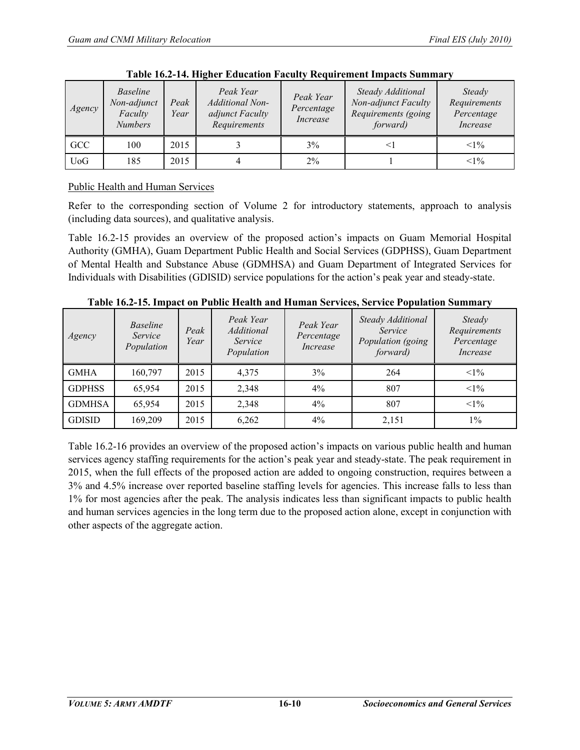| Agency     | <b>Baseline</b><br>Non-adjunct<br>Faculty<br><b>Numbers</b> | Peak<br>Year | Peak Year<br><b>Additional Non-</b><br>adjunct Faculty<br>Requirements | Peak Year<br>Percentage<br>Increase | Steady Additional<br>Non-adjunct Faculty<br>Requirements (going<br>forward) | Steady<br>Requirements<br>Percentage<br>Increase |
|------------|-------------------------------------------------------------|--------------|------------------------------------------------------------------------|-------------------------------------|-----------------------------------------------------------------------------|--------------------------------------------------|
| GCC        | 100                                                         | 2015         |                                                                        | 3%                                  |                                                                             | $<1\%$                                           |
| <b>UoG</b> | 185                                                         | 2015         |                                                                        | $2\%$                               |                                                                             | $<1\%$                                           |

**Table 16.2-14. Higher Education Faculty Requirement Impacts Summary**

# Public Health and Human Services

Refer to the corresponding section of Volume 2 for introductory statements, approach to analysis (including data sources), and qualitative analysis.

Table 16.2-15 provides an overview of the proposed action's impacts on Guam Memorial Hospital Authority (GMHA), Guam Department Public Health and Social Services (GDPHSS), Guam Department of Mental Health and Substance Abuse (GDMHSA) and Guam Department of Integrated Services for Individuals with Disabilities (GDISID) service populations for the action's peak year and steady-state.

| Agency        | <i>Baseline</i><br>Service<br>Population | Peak<br>Year | Peak Year<br>Additional<br>Service<br>Population | Peak Year<br>Percentage<br>Increase | Steady Additional<br>Service<br>Population (going<br>forward) | Steady<br>Requirements<br>Percentage<br>Increase |
|---------------|------------------------------------------|--------------|--------------------------------------------------|-------------------------------------|---------------------------------------------------------------|--------------------------------------------------|
| <b>GMHA</b>   | 160,797                                  | 2015         | 4,375                                            | 3%                                  | 264                                                           | $<1\%$                                           |
| <b>GDPHSS</b> | 65,954                                   | 2015         | 2,348                                            | 4%                                  | 807                                                           | $<1\%$                                           |
| <b>GDMHSA</b> | 65,954                                   | 2015         | 2,348                                            | $4\%$                               | 807                                                           | $<1\%$                                           |
| <b>GDISID</b> | 169,209                                  | 2015         | 6,262                                            | $4\%$                               | 2,151                                                         | $1\%$                                            |

**Table 16.2-15. Impact on Public Health and Human Services, Service Population Summary**

Table 16.2-16 provides an overview of the proposed action's impacts on various public health and human services agency staffing requirements for the action's peak year and steady-state. The peak requirement in 2015, when the full effects of the proposed action are added to ongoing construction, requires between a 3% and 4.5% increase over reported baseline staffing levels for agencies. This increase falls to less than 1% for most agencies after the peak. The analysis indicates less than significant impacts to public health and human services agencies in the long term due to the proposed action alone, except in conjunction with other aspects of the aggregate action.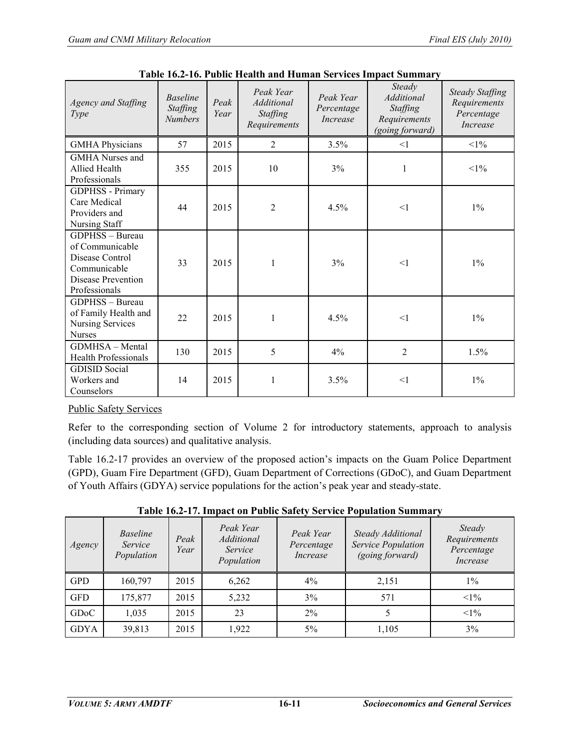| Agency and Staffing<br><i>Type</i>                                                                           | <b>Baseline</b><br>Staffing<br><b>Numbers</b> | Peak<br>Year | Peak Year<br>Additional<br><b>Staffing</b><br>Requirements | Peak Year<br>Percentage<br><i>Increase</i> | Steady<br>Additional<br>Staffing<br>Requirements<br>(going forward) | <b>Steady Staffing</b><br>Requirements<br>Percentage<br><i>Increase</i> |
|--------------------------------------------------------------------------------------------------------------|-----------------------------------------------|--------------|------------------------------------------------------------|--------------------------------------------|---------------------------------------------------------------------|-------------------------------------------------------------------------|
| <b>GMHA Physicians</b>                                                                                       | 57                                            | 2015         | $\overline{2}$                                             | 3.5%                                       | $\leq$ 1                                                            | $<1\%$                                                                  |
| <b>GMHA</b> Nurses and<br>Allied Health<br>Professionals                                                     | 355                                           | 2015         | 10                                                         | 3%                                         | 1                                                                   | $<1\%$                                                                  |
| <b>GDPHSS</b> - Primary<br>Care Medical<br>Providers and<br>Nursing Staff                                    | 44                                            | 2015         | $\overline{2}$                                             | 4.5%                                       | <1                                                                  | $1\%$                                                                   |
| GDPHSS - Bureau<br>of Communicable<br>Disease Control<br>Communicable<br>Disease Prevention<br>Professionals | 33                                            | 2015         | 1                                                          | 3%                                         | <1                                                                  | $1\%$                                                                   |
| GDPHSS - Bureau<br>of Family Health and<br><b>Nursing Services</b><br><b>Nurses</b>                          | 22                                            | 2015         | 1                                                          | 4.5%                                       | <1                                                                  | $1\%$                                                                   |
| GDMHSA - Mental<br><b>Health Professionals</b>                                                               | 130                                           | 2015         | 5                                                          | 4%                                         | $\overline{2}$                                                      | 1.5%                                                                    |
| <b>GDISID</b> Social<br>Workers and<br>Counselors                                                            | 14                                            | 2015         | 1                                                          | 3.5%                                       | <1                                                                  | $1\%$                                                                   |

**Table 16.2-16. Public Health and Human Services Impact Summary**

# Public Safety Services

Refer to the corresponding section of Volume 2 for introductory statements, approach to analysis (including data sources) and qualitative analysis.

Table 16.2-17 provides an overview of the proposed action's impacts on the Guam Police Department (GPD), Guam Fire Department (GFD), Guam Department of Corrections (GDoC), and Guam Department of Youth Affairs (GDYA) service populations for the action's peak year and steady-state.

| Agency      | <i>Baseline</i><br>Service<br>Population | Peak<br>Year | Peak Year<br>Additional<br>Service<br>Population | Peak Year<br>Percentage<br>Increase | Steady Additional<br>Service Population<br>(going forward) | Steady<br>Requirements<br>Percentage<br>Increase |
|-------------|------------------------------------------|--------------|--------------------------------------------------|-------------------------------------|------------------------------------------------------------|--------------------------------------------------|
| <b>GPD</b>  | 160,797                                  | 2015         | 6,262                                            | 4%                                  | 2,151                                                      | $1\%$                                            |
| <b>GFD</b>  | 175,877                                  | 2015         | 5,232                                            | 3%                                  | 571                                                        | $<1\%$                                           |
| <b>GDoC</b> | 1,035                                    | 2015         | 23                                               | 2%                                  |                                                            | $<1\%$                                           |
| <b>GDYA</b> | 39,813                                   | 2015         | 1,922                                            | $5\%$                               | 1,105                                                      | 3%                                               |

**Table 16.2-17. Impact on Public Safety Service Population Summary**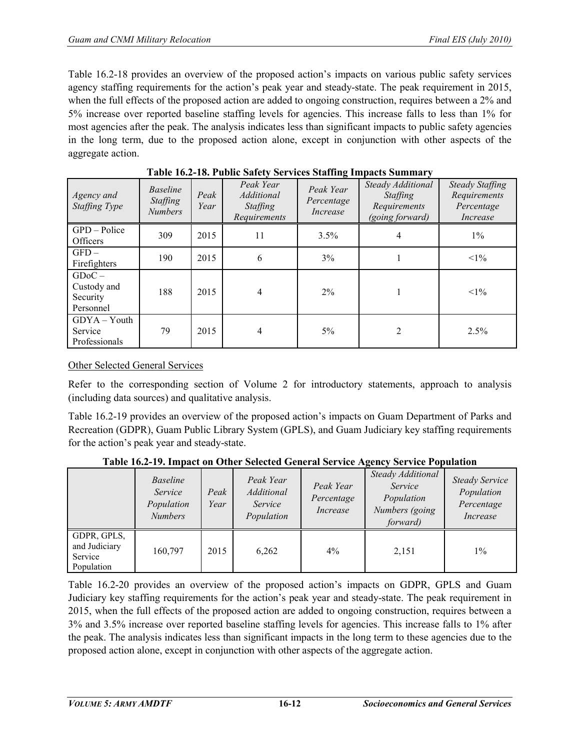Table 16.2-18 provides an overview of the proposed action's impacts on various public safety services agency staffing requirements for the action's peak year and steady-state. The peak requirement in 2015, when the full effects of the proposed action are added to ongoing construction, requires between a 2% and 5% increase over reported baseline staffing levels for agencies. This increase falls to less than 1% for most agencies after the peak. The analysis indicates less than significant impacts to public safety agencies in the long term, due to the proposed action alone, except in conjunction with other aspects of the aggregate action.

| Agency and<br>Staffing Type                      | <b>Baseline</b><br>Staffing<br><b>Numbers</b> | Peak<br>Year | Peak Year<br><i>Additional</i><br><b>Staffing</b><br>Requirements | Peak Year<br>Percentage<br>Increase | Steady Additional<br>Staffing<br>Requirements<br>(going forward) | <b>Steady Staffing</b><br>Requirements<br>Percentage<br>Increase |
|--------------------------------------------------|-----------------------------------------------|--------------|-------------------------------------------------------------------|-------------------------------------|------------------------------------------------------------------|------------------------------------------------------------------|
| GPD - Police<br><b>Officers</b>                  | 309                                           | 2015         | 11                                                                | 3.5%                                | 4                                                                | $1\%$                                                            |
| $GFD -$<br>Firefighters                          | 190                                           | 2015         | 6                                                                 | $3\%$                               |                                                                  | $<1\%$                                                           |
| $GDoC -$<br>Custody and<br>Security<br>Personnel | 188                                           | 2015         | 4                                                                 | $2\%$                               |                                                                  | $<1\%$                                                           |
| $GDYA - Youth$<br>Service<br>Professionals       | 79                                            | 2015         | 4                                                                 | $5\%$                               | $\overline{2}$                                                   | 2.5%                                                             |

**Table 16.2-18. Public Safety Services Staffing Impacts Summary**

# Other Selected General Services

Refer to the corresponding section of Volume 2 for introductory statements, approach to analysis (including data sources) and qualitative analysis.

Table 16.2-19 provides an overview of the proposed action's impacts on Guam Department of Parks and Recreation (GDPR), Guam Public Library System (GPLS), and Guam Judiciary key staffing requirements for the action's peak year and steady-state.

|                                                       | <b>Baseline</b><br>Service<br>Population<br><b>Numbers</b> | Peak<br>Year | Peak Year<br>Additional<br>Service<br>Population | Peak Year<br>Percentage<br>Increase | Steady Additional<br>Service<br>Population<br>Numbers (going<br>forward) | <b>Steady Service</b><br>Population<br>Percentage<br>Increase |
|-------------------------------------------------------|------------------------------------------------------------|--------------|--------------------------------------------------|-------------------------------------|--------------------------------------------------------------------------|---------------------------------------------------------------|
| GDPR, GPLS,<br>and Judiciary<br>Service<br>Population | 160,797                                                    | 2015         | 6,262                                            | $4\%$                               | 2,151                                                                    | $1\%$                                                         |

**Table 16.2-19. Impact on Other Selected General Service Agency Service Population** 

Table 16.2-20 provides an overview of the proposed action's impacts on GDPR, GPLS and Guam Judiciary key staffing requirements for the action's peak year and steady-state. The peak requirement in 2015, when the full effects of the proposed action are added to ongoing construction, requires between a 3% and 3.5% increase over reported baseline staffing levels for agencies. This increase falls to 1% after the peak. The analysis indicates less than significant impacts in the long term to these agencies due to the proposed action alone, except in conjunction with other aspects of the aggregate action.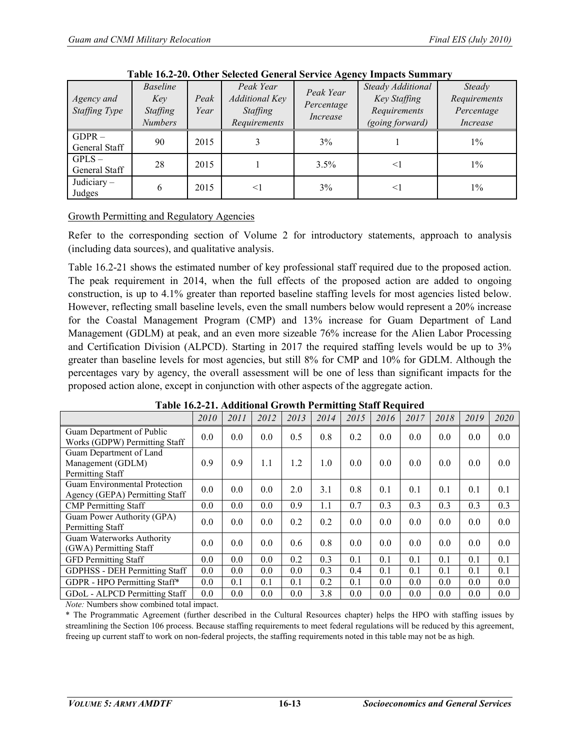| Agency and<br>Staffing Type | <b>Baseline</b><br>Key<br>Staffing<br><b>Numbers</b> | Peak<br>Year | Peak Year<br>Additional Key<br><b>Staffing</b><br>Requirements | Peak Year<br>Percentage<br>Increase | $1000$ $100$ $100$ $1000$ $1000$ $1000$ $1000$ $1000$ $1000$ $1000$ $1000$ $1000$ $1000$<br>Steady Additional<br>Key Staffing<br>Requirements<br>(going forward) | Steady<br>Requirements<br>Percentage<br>Increase |  |
|-----------------------------|------------------------------------------------------|--------------|----------------------------------------------------------------|-------------------------------------|------------------------------------------------------------------------------------------------------------------------------------------------------------------|--------------------------------------------------|--|
| $GDPR -$<br>General Staff   | 90                                                   | 2015         |                                                                | 3%                                  |                                                                                                                                                                  | $1\%$                                            |  |
| $GPLS -$<br>General Staff   | 28                                                   | 2015         |                                                                | 3.5%                                | $\leq$ 1                                                                                                                                                         | $1\%$                                            |  |
| Judiciary $-$<br>Judges     | 6                                                    | 2015         | $\leq$ 1                                                       | 3%                                  | ≤Ι                                                                                                                                                               | $1\%$                                            |  |

**Table 16.2-20. Other Selected General Service Agency Impacts Summary**

## Growth Permitting and Regulatory Agencies

Refer to the corresponding section of Volume 2 for introductory statements, approach to analysis (including data sources), and qualitative analysis.

Table 16.2-21 shows the estimated number of key professional staff required due to the proposed action. The peak requirement in 2014, when the full effects of the proposed action are added to ongoing construction, is up to 4.1% greater than reported baseline staffing levels for most agencies listed below. However, reflecting small baseline levels, even the small numbers below would represent a 20% increase for the Coastal Management Program (CMP) and 13% increase for Guam Department of Land Management (GDLM) at peak, and an even more sizeable 76% increase for the Alien Labor Processing and Certification Division (ALPCD). Starting in 2017 the required staffing levels would be up to 3% greater than baseline levels for most agencies, but still 8% for CMP and 10% for GDLM. Although the percentages vary by agency, the overall assessment will be one of less than significant impacts for the proposed action alone, except in conjunction with other aspects of the aggregate action.

|                                                                        | 2010 | 2011 | 2012 | 2013 | 2014 | 2015 | 2016 | 2017 | 2018 | 2019 | 2020 |
|------------------------------------------------------------------------|------|------|------|------|------|------|------|------|------|------|------|
| Guam Department of Public<br>Works (GDPW) Permitting Staff             | 0.0  | 0.0  | 0.0  | 0.5  | 0.8  | 0.2  | 0.0  | 0.0  | 0.0  | 0.0  | 0.0  |
| Guam Department of Land<br>Management (GDLM)<br>Permitting Staff       | 0.9  | 0.9  | 1.1  | 1.2  | 1.0  | 0.0  | 0.0  | 0.0  | 0.0  | 0.0  | 0.0  |
| <b>Guam Environmental Protection</b><br>Agency (GEPA) Permitting Staff | 0.0  | 0.0  | 0.0  | 2.0  | 3.1  | 0.8  | 0.1  | 0.1  | 0.1  | 0.1  | 0.1  |
| <b>CMP</b> Permitting Staff                                            | 0.0  | 0.0  | 0.0  | 0.9  | 1.1  | 0.7  | 0.3  | 0.3  | 0.3  | 0.3  | 0.3  |
| Guam Power Authority (GPA)<br>Permitting Staff                         | 0.0  | 0.0  | 0.0  | 0.2  | 0.2  | 0.0  | 0.0  | 0.0  | 0.0  | 0.0  | 0.0  |
| Guam Waterworks Authority<br>(GWA) Permitting Staff                    | 0.0  | 0.0  | 0.0  | 0.6  | 0.8  | 0.0  | 0.0  | 0.0  | 0.0  | 0.0  | 0.0  |
| <b>GFD</b> Permitting Staff                                            | 0.0  | 0.0  | 0.0  | 0.2  | 0.3  | 0.1  | 0.1  | 0.1  | 0.1  | 0.1  | 0.1  |
| <b>GDPHSS - DEH Permitting Staff</b>                                   | 0.0  | 0.0  | 0.0  | 0.0  | 0.3  | 0.4  | 0.1  | 0.1  | 0.1  | 0.1  | 0.1  |
| GDPR - HPO Permitting Staff*                                           | 0.0  | 0.1  | 0.1  | 0.1  | 0.2  | 0.1  | 0.0  | 0.0  | 0.0  | 0.0  | 0.0  |
| GDoL - ALPCD Permitting Staff                                          | 0.0  | 0.0  | 0.0  | 0.0  | 3.8  | 0.0  | 0.0  | 0.0  | 0.0  | 0.0  | 0.0  |

|  | Table 16.2-21. Additional Growth Permitting Staff Required |  |  |
|--|------------------------------------------------------------|--|--|
|  |                                                            |  |  |

*Note:* Numbers show combined total impact.

\* The Programmatic Agreement (further described in the Cultural Resources chapter) helps the HPO with staffing issues by streamlining the Section 106 process. Because staffing requirements to meet federal regulations will be reduced by this agreement, freeing up current staff to work on non-federal projects, the staffing requirements noted in this table may not be as high.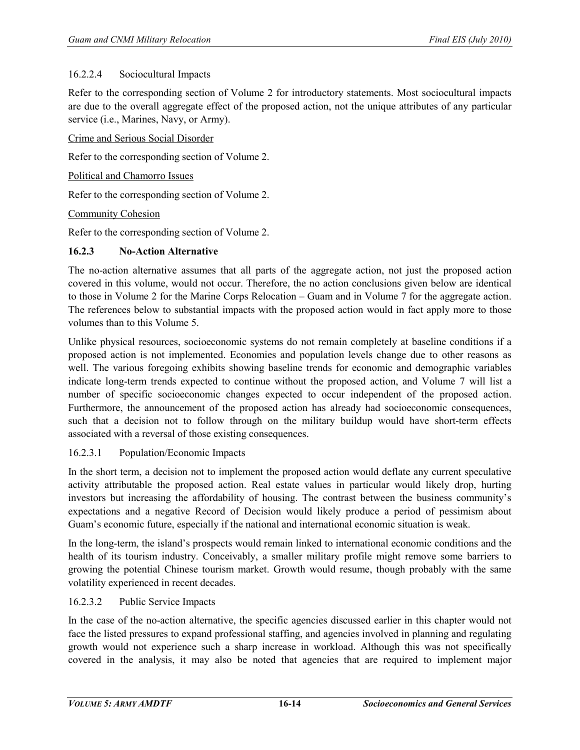#### 16.2.2.4 Sociocultural Impacts

Refer to the corresponding section of Volume 2 for introductory statements. Most sociocultural impacts are due to the overall aggregate effect of the proposed action, not the unique attributes of any particular service (i.e., Marines, Navy, or Army).

Crime and Serious Social Disorder

Refer to the corresponding section of Volume 2.

Political and Chamorro Issues

Refer to the corresponding section of Volume 2.

Community Cohesion

Refer to the corresponding section of Volume 2.

#### **16.2.3 No-Action Alternative**

The no-action alternative assumes that all parts of the aggregate action, not just the proposed action covered in this volume, would not occur. Therefore, the no action conclusions given below are identical to those in Volume 2 for the Marine Corps Relocation – Guam and in Volume 7 for the aggregate action. The references below to substantial impacts with the proposed action would in fact apply more to those volumes than to this Volume 5.

Unlike physical resources, socioeconomic systems do not remain completely at baseline conditions if a proposed action is not implemented. Economies and population levels change due to other reasons as well. The various foregoing exhibits showing baseline trends for economic and demographic variables indicate long-term trends expected to continue without the proposed action, and Volume 7 will list a number of specific socioeconomic changes expected to occur independent of the proposed action. Furthermore, the announcement of the proposed action has already had socioeconomic consequences, such that a decision not to follow through on the military buildup would have short-term effects associated with a reversal of those existing consequences.

#### 16.2.3.1 Population/Economic Impacts

In the short term, a decision not to implement the proposed action would deflate any current speculative activity attributable the proposed action. Real estate values in particular would likely drop, hurting investors but increasing the affordability of housing. The contrast between the business community's expectations and a negative Record of Decision would likely produce a period of pessimism about Guam's economic future, especially if the national and international economic situation is weak.

In the long-term, the island's prospects would remain linked to international economic conditions and the health of its tourism industry. Conceivably, a smaller military profile might remove some barriers to growing the potential Chinese tourism market. Growth would resume, though probably with the same volatility experienced in recent decades.

#### 16.2.3.2 Public Service Impacts

In the case of the no-action alternative, the specific agencies discussed earlier in this chapter would not face the listed pressures to expand professional staffing, and agencies involved in planning and regulating growth would not experience such a sharp increase in workload. Although this was not specifically covered in the analysis, it may also be noted that agencies that are required to implement major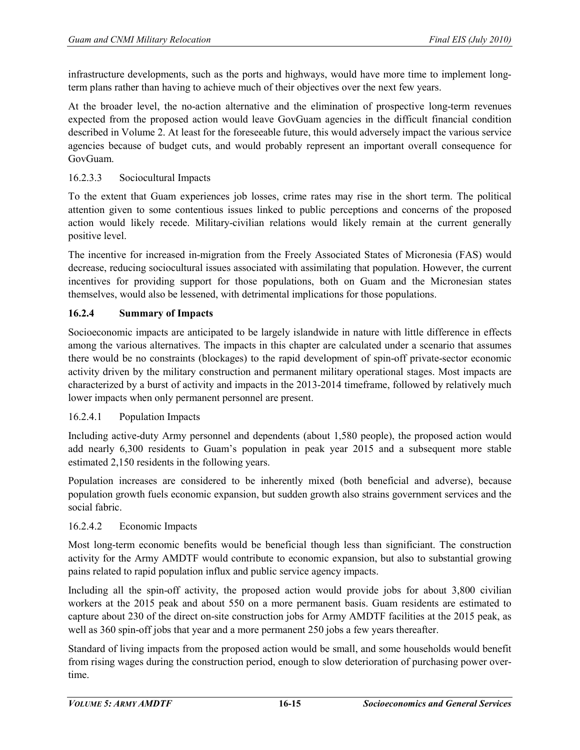infrastructure developments, such as the ports and highways, would have more time to implement longterm plans rather than having to achieve much of their objectives over the next few years.

At the broader level, the no-action alternative and the elimination of prospective long-term revenues expected from the proposed action would leave GovGuam agencies in the difficult financial condition described in Volume 2. At least for the foreseeable future, this would adversely impact the various service agencies because of budget cuts, and would probably represent an important overall consequence for GovGuam.

## 16.2.3.3 Sociocultural Impacts

To the extent that Guam experiences job losses, crime rates may rise in the short term. The political attention given to some contentious issues linked to public perceptions and concerns of the proposed action would likely recede. Military-civilian relations would likely remain at the current generally positive level.

The incentive for increased in-migration from the Freely Associated States of Micronesia (FAS) would decrease, reducing sociocultural issues associated with assimilating that population. However, the current incentives for providing support for those populations, both on Guam and the Micronesian states themselves, would also be lessened, with detrimental implications for those populations.

## **16.2.4 Summary of Impacts**

Socioeconomic impacts are anticipated to be largely islandwide in nature with little difference in effects among the various alternatives. The impacts in this chapter are calculated under a scenario that assumes there would be no constraints (blockages) to the rapid development of spin-off private-sector economic activity driven by the military construction and permanent military operational stages. Most impacts are characterized by a burst of activity and impacts in the 2013-2014 timeframe, followed by relatively much lower impacts when only permanent personnel are present.

#### 16.2.4.1 Population Impacts

Including active-duty Army personnel and dependents (about 1,580 people), the proposed action would add nearly 6,300 residents to Guam's population in peak year 2015 and a subsequent more stable estimated 2,150 residents in the following years.

Population increases are considered to be inherently mixed (both beneficial and adverse), because population growth fuels economic expansion, but sudden growth also strains government services and the social fabric.

#### 16.2.4.2 Economic Impacts

Most long-term economic benefits would be beneficial though less than significiant. The construction activity for the Army AMDTF would contribute to economic expansion, but also to substantial growing pains related to rapid population influx and public service agency impacts.

Including all the spin-off activity, the proposed action would provide jobs for about 3,800 civilian workers at the 2015 peak and about 550 on a more permanent basis. Guam residents are estimated to capture about 230 of the direct on-site construction jobs for Army AMDTF facilities at the 2015 peak, as well as 360 spin-off jobs that year and a more permanent 250 jobs a few years thereafter.

Standard of living impacts from the proposed action would be small, and some households would benefit from rising wages during the construction period, enough to slow deterioration of purchasing power overtime.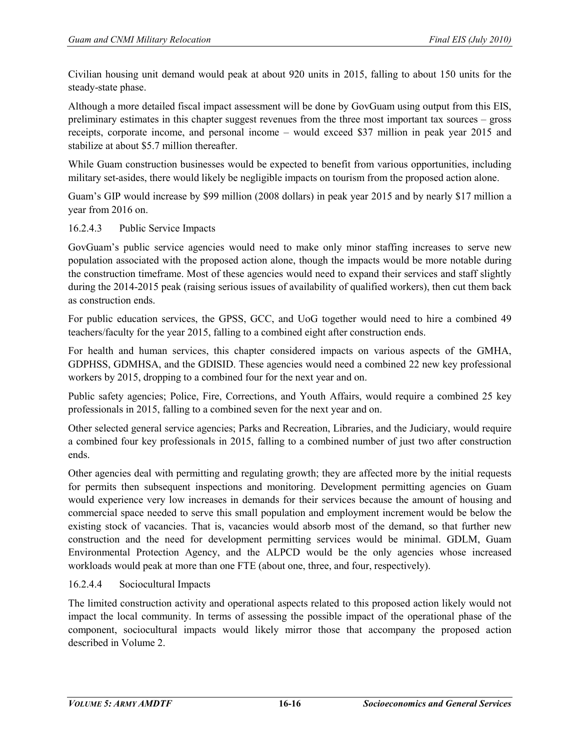Civilian housing unit demand would peak at about 920 units in 2015, falling to about 150 units for the steady-state phase.

Although a more detailed fiscal impact assessment will be done by GovGuam using output from this EIS, preliminary estimates in this chapter suggest revenues from the three most important tax sources – gross receipts, corporate income, and personal income – would exceed \$37 million in peak year 2015 and stabilize at about \$5.7 million thereafter.

While Guam construction businesses would be expected to benefit from various opportunities, including military set-asides, there would likely be negligible impacts on tourism from the proposed action alone.

Guam's GIP would increase by \$99 million (2008 dollars) in peak year 2015 and by nearly \$17 million a year from 2016 on.

#### 16.2.4.3 Public Service Impacts

GovGuam's public service agencies would need to make only minor staffing increases to serve new population associated with the proposed action alone, though the impacts would be more notable during the construction timeframe. Most of these agencies would need to expand their services and staff slightly during the 2014-2015 peak (raising serious issues of availability of qualified workers), then cut them back as construction ends.

For public education services, the GPSS, GCC, and UoG together would need to hire a combined 49 teachers/faculty for the year 2015, falling to a combined eight after construction ends.

For health and human services, this chapter considered impacts on various aspects of the GMHA, GDPHSS, GDMHSA, and the GDISID. These agencies would need a combined 22 new key professional workers by 2015, dropping to a combined four for the next year and on.

Public safety agencies; Police, Fire, Corrections, and Youth Affairs, would require a combined 25 key professionals in 2015, falling to a combined seven for the next year and on.

Other selected general service agencies; Parks and Recreation, Libraries, and the Judiciary, would require a combined four key professionals in 2015, falling to a combined number of just two after construction ends.

Other agencies deal with permitting and regulating growth; they are affected more by the initial requests for permits then subsequent inspections and monitoring. Development permitting agencies on Guam would experience very low increases in demands for their services because the amount of housing and commercial space needed to serve this small population and employment increment would be below the existing stock of vacancies. That is, vacancies would absorb most of the demand, so that further new construction and the need for development permitting services would be minimal. GDLM, Guam Environmental Protection Agency, and the ALPCD would be the only agencies whose increased workloads would peak at more than one FTE (about one, three, and four, respectively).

#### 16.2.4.4 Sociocultural Impacts

The limited construction activity and operational aspects related to this proposed action likely would not impact the local community. In terms of assessing the possible impact of the operational phase of the component, sociocultural impacts would likely mirror those that accompany the proposed action described in Volume 2.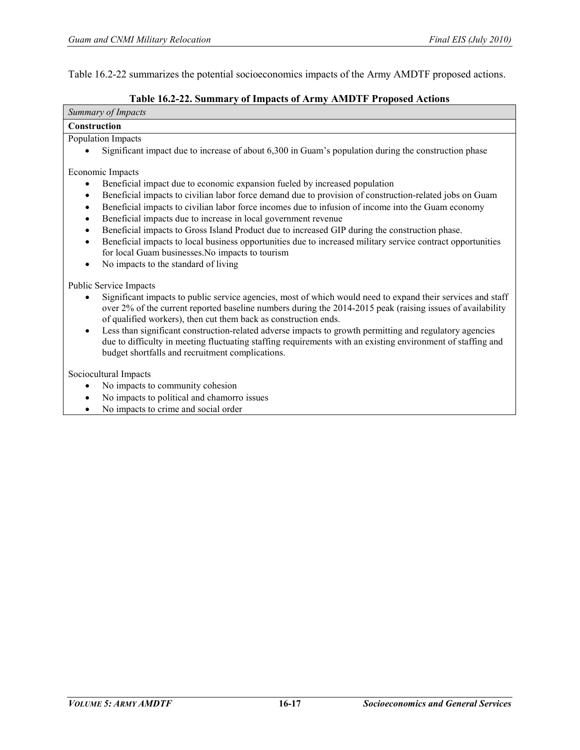Г

٦

Table 16.2-22 summarizes the potential socioeconomics impacts of the Army AMDTF proposed actions.

#### **Table 16.2-22. Summary of Impacts of Army AMDTF Proposed Actions**

| Summary of Impacts                                                                                                                                                                                                                                                                                                                                                                                                                                                                                                                                                                                                                                                                                                                                                                        |
|-------------------------------------------------------------------------------------------------------------------------------------------------------------------------------------------------------------------------------------------------------------------------------------------------------------------------------------------------------------------------------------------------------------------------------------------------------------------------------------------------------------------------------------------------------------------------------------------------------------------------------------------------------------------------------------------------------------------------------------------------------------------------------------------|
| <b>Construction</b>                                                                                                                                                                                                                                                                                                                                                                                                                                                                                                                                                                                                                                                                                                                                                                       |
| Population Impacts                                                                                                                                                                                                                                                                                                                                                                                                                                                                                                                                                                                                                                                                                                                                                                        |
| Significant impact due to increase of about 6,300 in Guam's population during the construction phase                                                                                                                                                                                                                                                                                                                                                                                                                                                                                                                                                                                                                                                                                      |
| Economic Impacts<br>Beneficial impact due to economic expansion fueled by increased population<br>$\bullet$<br>Beneficial impacts to civilian labor force demand due to provision of construction-related jobs on Guam<br>$\bullet$<br>Beneficial impacts to civilian labor force incomes due to infusion of income into the Guam economy<br>$\bullet$<br>Beneficial impacts due to increase in local government revenue<br>$\bullet$<br>Beneficial impacts to Gross Island Product due to increased GIP during the construction phase.<br>$\bullet$<br>Beneficial impacts to local business opportunities due to increased military service contract opportunities<br>$\bullet$<br>for local Guam businesses. No impacts to tourism<br>No impacts to the standard of living<br>$\bullet$ |
| Public Service Impacts                                                                                                                                                                                                                                                                                                                                                                                                                                                                                                                                                                                                                                                                                                                                                                    |
| Significant impacts to public service agencies, most of which would need to expand their services and staff<br>$\bullet$<br>over 2% of the current reported baseline numbers during the 2014-2015 peak (raising issues of availability<br>of qualified workers), then cut them back as construction ends.                                                                                                                                                                                                                                                                                                                                                                                                                                                                                 |
| Less than significant construction-related adverse impacts to growth permitting and regulatory agencies                                                                                                                                                                                                                                                                                                                                                                                                                                                                                                                                                                                                                                                                                   |

due to difficulty in meeting fluctuating staffing requirements with an existing environment of staffing and budget shortfalls and recruitment complications.

Sociocultural Impacts

- No impacts to community cohesion
- No impacts to political and chamorro issues
- No impacts to crime and social order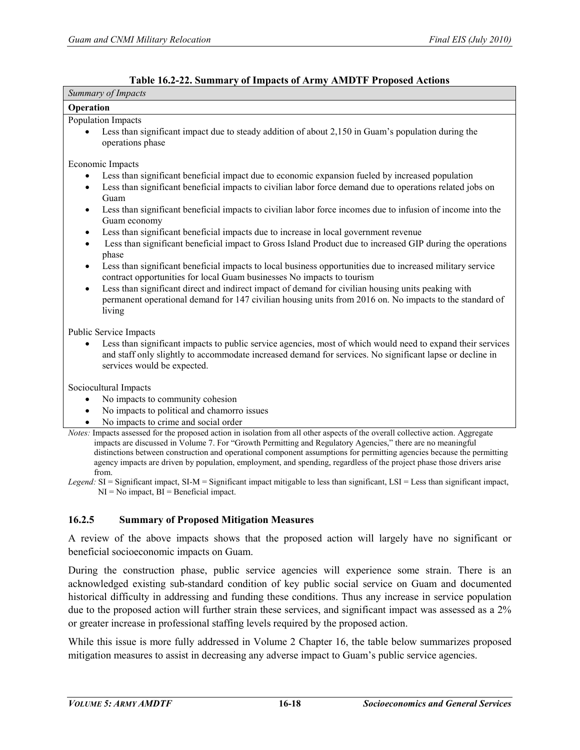#### **Table 16.2-22. Summary of Impacts of Army AMDTF Proposed Actions**

| Summary of Impacts                                                                                                                                                                                                                                                                                                                                                                                                                                                                                                                                                                                                                                      |
|---------------------------------------------------------------------------------------------------------------------------------------------------------------------------------------------------------------------------------------------------------------------------------------------------------------------------------------------------------------------------------------------------------------------------------------------------------------------------------------------------------------------------------------------------------------------------------------------------------------------------------------------------------|
| Operation                                                                                                                                                                                                                                                                                                                                                                                                                                                                                                                                                                                                                                               |
| Population Impacts<br>Less than significant impact due to steady addition of about 2,150 in Guam's population during the<br>operations phase                                                                                                                                                                                                                                                                                                                                                                                                                                                                                                            |
| Economic Impacts                                                                                                                                                                                                                                                                                                                                                                                                                                                                                                                                                                                                                                        |
| Less than significant beneficial impact due to economic expansion fueled by increased population<br>$\bullet$<br>Less than significant beneficial impacts to civilian labor force demand due to operations related jobs on<br>$\bullet$<br>Guam<br>Less than significant beneficial impacts to civilian labor force incomes due to infusion of income into the<br>$\bullet$                                                                                                                                                                                                                                                                             |
| Guam economy<br>Less than significant beneficial impacts due to increase in local government revenue<br>$\bullet$<br>Less than significant beneficial impact to Gross Island Product due to increased GIP during the operations<br>$\bullet$<br>phase                                                                                                                                                                                                                                                                                                                                                                                                   |
| Less than significant beneficial impacts to local business opportunities due to increased military service<br>$\bullet$<br>contract opportunities for local Guam businesses No impacts to tourism<br>Less than significant direct and indirect impact of demand for civilian housing units peaking with<br>$\bullet$<br>permanent operational demand for 147 civilian housing units from 2016 on. No impacts to the standard of<br>living                                                                                                                                                                                                               |
| Public Service Impacts<br>Less than significant impacts to public service agencies, most of which would need to expand their services<br>$\bullet$<br>and staff only slightly to accommodate increased demand for services. No significant lapse or decline in<br>services would be expected.                                                                                                                                                                                                                                                                                                                                                           |
| Sociocultural Impacts                                                                                                                                                                                                                                                                                                                                                                                                                                                                                                                                                                                                                                   |
| No impacts to community cohesion<br>$\bullet$<br>No impacts to political and chamorro issues<br>$\bullet$<br>No impacts to crime and social order                                                                                                                                                                                                                                                                                                                                                                                                                                                                                                       |
| Notes: Impacts assessed for the proposed action in isolation from all other aspects of the overall collective action. Aggregate<br>impacts are discussed in Volume 7. For "Growth Permitting and Regulatory Agencies," there are no meaningful<br>distinctions between construction and operational component assumptions for permitting agencies because the permitting<br>agency impacts are driven by population, employment, and spending, regardless of the project phase those drivers arise<br>from.<br>Legend: $SI =$ Significant impact, $SI-M =$ Significant impact mitigable to less than significant, $LSI =$ Less than significant impact, |
| $NI = No$ impact, $BI = Benedict$ impact.<br>16.2.5<br><b>Summary of Proposed Mitigation Measures</b>                                                                                                                                                                                                                                                                                                                                                                                                                                                                                                                                                   |
| A review of the above impacts shows that the proposed action will largely have no significant or<br>beneficial socioeconomic impacts on Guam.                                                                                                                                                                                                                                                                                                                                                                                                                                                                                                           |
| During the construction phase public service examples will experience some strong There is an                                                                                                                                                                                                                                                                                                                                                                                                                                                                                                                                                           |

During the construction phase, public service agencies will experience some strain. There is an acknowledged existing sub-standard condition of key public social service on Guam and documented historical difficulty in addressing and funding these conditions. Thus any increase in service population due to the proposed action will further strain these services, and significant impact was assessed as a 2% or greater increase in professional staffing levels required by the proposed action.

While this issue is more fully addressed in Volume 2 Chapter 16, the table below summarizes proposed mitigation measures to assist in decreasing any adverse impact to Guam's public service agencies.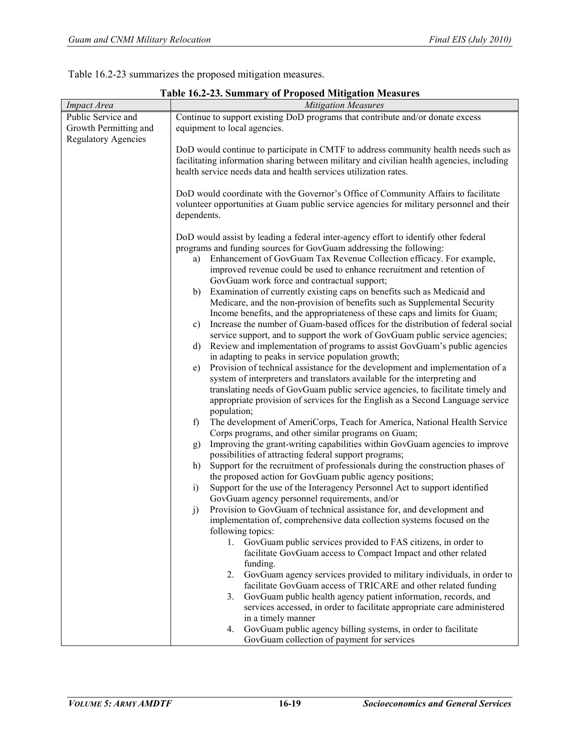Table 16.2-23 summarizes the proposed mitigation measures.

| <b>Impact Area</b>         | <b>Mitigation Measures</b>                                                                                                                                                                                                                                                                                                                                                                                                                                                                                                                                                                                                                                                                                                                                                                                                                                                                                                                                                                                                                                                                                                                                                                                                                                                                                                                                                                                                                                                                                                                                                                                                                                                                                                                                                                                                                                                                                                                                                                                                                   |  |  |  |  |  |
|----------------------------|----------------------------------------------------------------------------------------------------------------------------------------------------------------------------------------------------------------------------------------------------------------------------------------------------------------------------------------------------------------------------------------------------------------------------------------------------------------------------------------------------------------------------------------------------------------------------------------------------------------------------------------------------------------------------------------------------------------------------------------------------------------------------------------------------------------------------------------------------------------------------------------------------------------------------------------------------------------------------------------------------------------------------------------------------------------------------------------------------------------------------------------------------------------------------------------------------------------------------------------------------------------------------------------------------------------------------------------------------------------------------------------------------------------------------------------------------------------------------------------------------------------------------------------------------------------------------------------------------------------------------------------------------------------------------------------------------------------------------------------------------------------------------------------------------------------------------------------------------------------------------------------------------------------------------------------------------------------------------------------------------------------------------------------------|--|--|--|--|--|
| Public Service and         | Continue to support existing DoD programs that contribute and/or donate excess                                                                                                                                                                                                                                                                                                                                                                                                                                                                                                                                                                                                                                                                                                                                                                                                                                                                                                                                                                                                                                                                                                                                                                                                                                                                                                                                                                                                                                                                                                                                                                                                                                                                                                                                                                                                                                                                                                                                                               |  |  |  |  |  |
| Growth Permitting and      | equipment to local agencies.                                                                                                                                                                                                                                                                                                                                                                                                                                                                                                                                                                                                                                                                                                                                                                                                                                                                                                                                                                                                                                                                                                                                                                                                                                                                                                                                                                                                                                                                                                                                                                                                                                                                                                                                                                                                                                                                                                                                                                                                                 |  |  |  |  |  |
| <b>Regulatory Agencies</b> | DoD would continue to participate in CMTF to address community health needs such as<br>facilitating information sharing between military and civilian health agencies, including<br>health service needs data and health services utilization rates.                                                                                                                                                                                                                                                                                                                                                                                                                                                                                                                                                                                                                                                                                                                                                                                                                                                                                                                                                                                                                                                                                                                                                                                                                                                                                                                                                                                                                                                                                                                                                                                                                                                                                                                                                                                         |  |  |  |  |  |
|                            | DoD would coordinate with the Governor's Office of Community Affairs to facilitate<br>volunteer opportunities at Guam public service agencies for military personnel and their<br>dependents.                                                                                                                                                                                                                                                                                                                                                                                                                                                                                                                                                                                                                                                                                                                                                                                                                                                                                                                                                                                                                                                                                                                                                                                                                                                                                                                                                                                                                                                                                                                                                                                                                                                                                                                                                                                                                                                |  |  |  |  |  |
|                            | DoD would assist by leading a federal inter-agency effort to identify other federal<br>programs and funding sources for GovGuam addressing the following:<br>Enhancement of GovGuam Tax Revenue Collection efficacy. For example,<br>a)<br>improved revenue could be used to enhance recruitment and retention of<br>GovGuam work force and contractual support;<br>Examination of currently existing caps on benefits such as Medicaid and<br>b)<br>Medicare, and the non-provision of benefits such as Supplemental Security<br>Income benefits, and the appropriateness of these caps and limits for Guam;<br>Increase the number of Guam-based offices for the distribution of federal social<br>c)<br>service support, and to support the work of GovGuam public service agencies;<br>Review and implementation of programs to assist GovGuam's public agencies<br>d)<br>in adapting to peaks in service population growth;<br>Provision of technical assistance for the development and implementation of a<br>e)<br>system of interpreters and translators available for the interpreting and<br>translating needs of GovGuam public service agencies, to facilitate timely and<br>appropriate provision of services for the English as a Second Language service<br>population;<br>The development of AmeriCorps, Teach for America, National Health Service<br>f)<br>Corps programs, and other similar programs on Guam;<br>Improving the grant-writing capabilities within GovGuam agencies to improve<br>g)<br>possibilities of attracting federal support programs;<br>Support for the recruitment of professionals during the construction phases of<br>h)<br>the proposed action for GovGuam public agency positions;<br>Support for the use of the Interagency Personnel Act to support identified<br>$\mathbf{i}$<br>GovGuam agency personnel requirements, and/or<br>Provision to GovGuam of technical assistance for, and development and<br>j)<br>implementation of, comprehensive data collection systems focused on the |  |  |  |  |  |
|                            | following topics:<br>1.<br>GovGuam public services provided to FAS citizens, in order to<br>facilitate GovGuam access to Compact Impact and other related<br>funding.<br>GovGuam agency services provided to military individuals, in order to<br>2.<br>facilitate GovGuam access of TRICARE and other related funding<br>GovGuam public health agency patient information, records, and<br>3.                                                                                                                                                                                                                                                                                                                                                                                                                                                                                                                                                                                                                                                                                                                                                                                                                                                                                                                                                                                                                                                                                                                                                                                                                                                                                                                                                                                                                                                                                                                                                                                                                                               |  |  |  |  |  |
|                            | services accessed, in order to facilitate appropriate care administered<br>in a timely manner<br>GovGuam public agency billing systems, in order to facilitate<br>4.<br>GovGuam collection of payment for services                                                                                                                                                                                                                                                                                                                                                                                                                                                                                                                                                                                                                                                                                                                                                                                                                                                                                                                                                                                                                                                                                                                                                                                                                                                                                                                                                                                                                                                                                                                                                                                                                                                                                                                                                                                                                           |  |  |  |  |  |

**Table 16.2-23. Summary of Proposed Mitigation Measures**